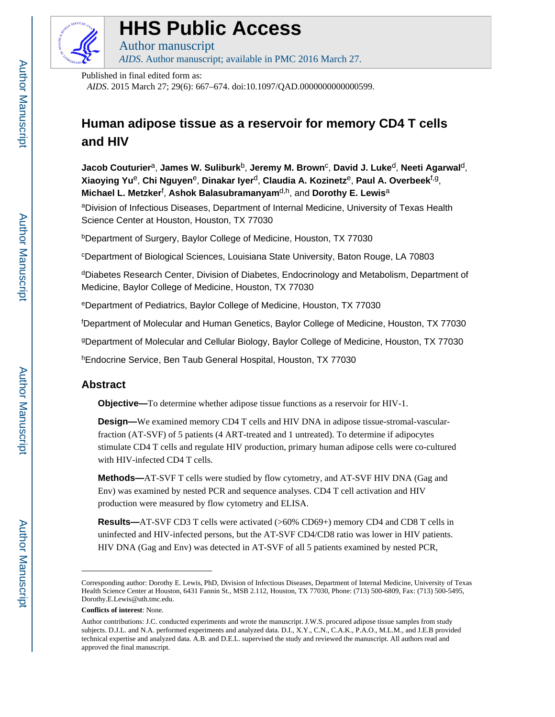

# **HHS Public Access**

Author manuscript *AIDS*. Author manuscript; available in PMC 2016 March 27.

Published in final edited form as:

*AIDS*. 2015 March 27; 29(6): 667–674. doi:10.1097/QAD.0000000000000599.

# **Human adipose tissue as a reservoir for memory CD4 T cells and HIV**

**Jacob Couturier**a, **James W. Suliburk**b, **Jeremy M. Brown**<sup>c</sup> , **David J. Luke**d, **Neeti Agarwal**d, **Xiaoying Yu**e, **Chi Nguyen**e, **Dinakar Iyer**d, **Claudia A. Kozinetz**e, **Paul A. Overbeek**f,g, **Michael L. Metzker**<sup>f</sup> , **Ashok Balasubramanyam**d,h, and **Dorothy E. Lewis**<sup>a</sup>

aDivision of Infectious Diseases, Department of Internal Medicine, University of Texas Health Science Center at Houston, Houston, TX 77030

<sup>b</sup>Department of Surgery, Baylor College of Medicine, Houston, TX 77030

<sup>c</sup>Department of Biological Sciences, Louisiana State University, Baton Rouge, LA 70803

<sup>d</sup>Diabetes Research Center, Division of Diabetes, Endocrinology and Metabolism, Department of Medicine, Baylor College of Medicine, Houston, TX 77030

<sup>e</sup>Department of Pediatrics, Baylor College of Medicine, Houston, TX 77030

<sup>f</sup>Department of Molecular and Human Genetics, Baylor College of Medicine, Houston, TX 77030

<sup>g</sup>Department of Molecular and Cellular Biology, Baylor College of Medicine, Houston, TX 77030

<sup>h</sup>Endocrine Service, Ben Taub General Hospital, Houston, TX 77030

# **Abstract**

**Objective—**To determine whether adipose tissue functions as a reservoir for HIV-1.

**Design—**We examined memory CD4 T cells and HIV DNA in adipose tissue-stromal-vascularfraction (AT-SVF) of 5 patients (4 ART-treated and 1 untreated). To determine if adipocytes stimulate CD4 T cells and regulate HIV production, primary human adipose cells were co-cultured with HIV-infected CD4 T cells.

**Methods—**AT-SVF T cells were studied by flow cytometry, and AT-SVF HIV DNA (Gag and Env) was examined by nested PCR and sequence analyses. CD4 T cell activation and HIV production were measured by flow cytometry and ELISA.

**Results—**AT-SVF CD3 T cells were activated (>60% CD69+) memory CD4 and CD8 T cells in uninfected and HIV-infected persons, but the AT-SVF CD4/CD8 ratio was lower in HIV patients. HIV DNA (Gag and Env) was detected in AT-SVF of all 5 patients examined by nested PCR,

Corresponding author: Dorothy E. Lewis, PhD, Division of Infectious Diseases, Department of Internal Medicine, University of Texas Health Science Center at Houston, 6431 Fannin St., MSB 2.112, Houston, TX 77030, Phone: (713) 500-6809, Fax: (713) 500-5495, Dorothy.E.Lewis@uth.tmc.edu.

**Conflicts of interest**: None.

Author contributions: J.C. conducted experiments and wrote the manuscript. J.W.S. procured adipose tissue samples from study subjects. D.J.L. and N.A. performed experiments and analyzed data. D.I., X.Y., C.N., C.A.K., P.A.O., M.L.M., and J.E.B provided technical expertise and analyzed data. A.B. and D.E.L. supervised the study and reviewed the manuscript. All authors read and approved the final manuscript.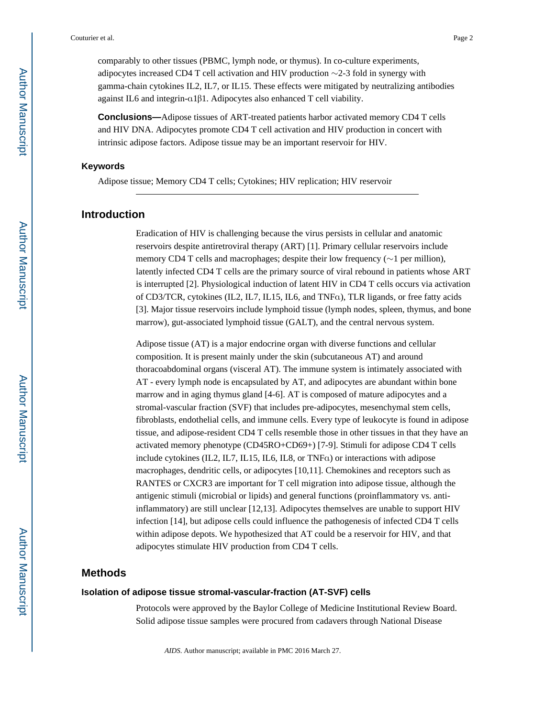comparably to other tissues (PBMC, lymph node, or thymus). In co-culture experiments, adipocytes increased CD4 T cell activation and HIV production  $\sim$ 2-3 fold in synergy with gamma-chain cytokines IL2, IL7, or IL15. These effects were mitigated by neutralizing antibodies against IL6 and integrin-α1β1. Adipocytes also enhanced T cell viability.

**Conclusions—**Adipose tissues of ART-treated patients harbor activated memory CD4 T cells and HIV DNA. Adipocytes promote CD4 T cell activation and HIV production in concert with intrinsic adipose factors. Adipose tissue may be an important reservoir for HIV.

#### **Keywords**

Adipose tissue; Memory CD4 T cells; Cytokines; HIV replication; HIV reservoir

# **Introduction**

Eradication of HIV is challenging because the virus persists in cellular and anatomic reservoirs despite antiretroviral therapy (ART) [1]. Primary cellular reservoirs include memory CD4 T cells and macrophages; despite their low frequency (∼1 per million), latently infected CD4 T cells are the primary source of viral rebound in patients whose ART is interrupted [2]. Physiological induction of latent HIV in CD4 T cells occurs via activation of CD3/TCR, cytokines (IL2, IL7, IL15, IL6, and TNFα), TLR ligands, or free fatty acids [3]. Major tissue reservoirs include lymphoid tissue (lymph nodes, spleen, thymus, and bone marrow), gut-associated lymphoid tissue (GALT), and the central nervous system.

Adipose tissue (AT) is a major endocrine organ with diverse functions and cellular composition. It is present mainly under the skin (subcutaneous AT) and around thoracoabdominal organs (visceral AT). The immune system is intimately associated with AT - every lymph node is encapsulated by AT, and adipocytes are abundant within bone marrow and in aging thymus gland [4-6]. AT is composed of mature adipocytes and a stromal-vascular fraction (SVF) that includes pre-adipocytes, mesenchymal stem cells, fibroblasts, endothelial cells, and immune cells. Every type of leukocyte is found in adipose tissue, and adipose-resident CD4 T cells resemble those in other tissues in that they have an activated memory phenotype (CD45RO+CD69+) [7-9]. Stimuli for adipose CD4 T cells include cytokines (IL2, IL7, IL15, IL6, IL8, or TNFα) or interactions with adipose macrophages, dendritic cells, or adipocytes [10,11]. Chemokines and receptors such as RANTES or CXCR3 are important for T cell migration into adipose tissue, although the antigenic stimuli (microbial or lipids) and general functions (proinflammatory vs. antiinflammatory) are still unclear [12,13]. Adipocytes themselves are unable to support HIV infection [14], but adipose cells could influence the pathogenesis of infected CD4 T cells within adipose depots. We hypothesized that AT could be a reservoir for HIV, and that adipocytes stimulate HIV production from CD4 T cells.

## **Methods**

#### **Isolation of adipose tissue stromal-vascular-fraction (AT-SVF) cells**

Protocols were approved by the Baylor College of Medicine Institutional Review Board. Solid adipose tissue samples were procured from cadavers through National Disease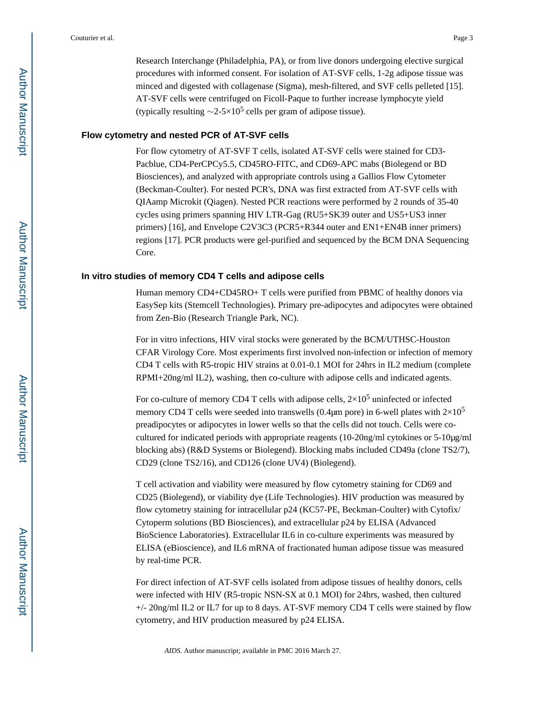Research Interchange (Philadelphia, PA), or from live donors undergoing elective surgical procedures with informed consent. For isolation of AT-SVF cells, 1-2g adipose tissue was minced and digested with collagenase (Sigma), mesh-filtered, and SVF cells pelleted [15]. AT-SVF cells were centrifuged on Ficoll-Paque to further increase lymphocyte yield (typically resulting  $\sim$ 2-5×10<sup>5</sup> cells per gram of adipose tissue).

#### **Flow cytometry and nested PCR of AT-SVF cells**

For flow cytometry of AT-SVF T cells, isolated AT-SVF cells were stained for CD3- Pacblue, CD4-PerCPCy5.5, CD45RO-FITC, and CD69-APC mabs (Biolegend or BD Biosciences), and analyzed with appropriate controls using a Gallios Flow Cytometer (Beckman-Coulter). For nested PCR's, DNA was first extracted from AT-SVF cells with QIAamp Microkit (Qiagen). Nested PCR reactions were performed by 2 rounds of 35-40 cycles using primers spanning HIV LTR-Gag (RU5+SK39 outer and US5+US3 inner primers) [16], and Envelope C2V3C3 (PCR5+R344 outer and EN1+EN4B inner primers) regions [17]. PCR products were gel-purified and sequenced by the BCM DNA Sequencing Core.

#### **In vitro studies of memory CD4 T cells and adipose cells**

Human memory CD4+CD45RO+ T cells were purified from PBMC of healthy donors via EasySep kits (Stemcell Technologies). Primary pre-adipocytes and adipocytes were obtained from Zen-Bio (Research Triangle Park, NC).

For in vitro infections, HIV viral stocks were generated by the BCM/UTHSC-Houston CFAR Virology Core. Most experiments first involved non-infection or infection of memory CD4 T cells with R5-tropic HIV strains at 0.01-0.1 MOI for 24hrs in IL2 medium (complete RPMI+20ng/ml IL2), washing, then co-culture with adipose cells and indicated agents.

For co-culture of memory CD4 T cells with adipose cells,  $2\times10^5$  uninfected or infected memory CD4 T cells were seeded into transwells (0.4 $\mu$ m pore) in 6-well plates with  $2\times10^5$ preadipocytes or adipocytes in lower wells so that the cells did not touch. Cells were cocultured for indicated periods with appropriate reagents (10-20ng/ml cytokines or 5-10μg/ml blocking abs) (R&D Systems or Biolegend). Blocking mabs included CD49a (clone TS2/7), CD29 (clone TS2/16), and CD126 (clone UV4) (Biolegend).

T cell activation and viability were measured by flow cytometry staining for CD69 and CD25 (Biolegend), or viability dye (Life Technologies). HIV production was measured by flow cytometry staining for intracellular p24 (KC57-PE, Beckman-Coulter) with Cytofix/ Cytoperm solutions (BD Biosciences), and extracellular p24 by ELISA (Advanced BioScience Laboratories). Extracellular IL6 in co-culture experiments was measured by ELISA (eBioscience), and IL6 mRNA of fractionated human adipose tissue was measured by real-time PCR.

For direct infection of AT-SVF cells isolated from adipose tissues of healthy donors, cells were infected with HIV (R5-tropic NSN-SX at 0.1 MOI) for 24hrs, washed, then cultured +/- 20ng/ml IL2 or IL7 for up to 8 days. AT-SVF memory CD4 T cells were stained by flow cytometry, and HIV production measured by p24 ELISA.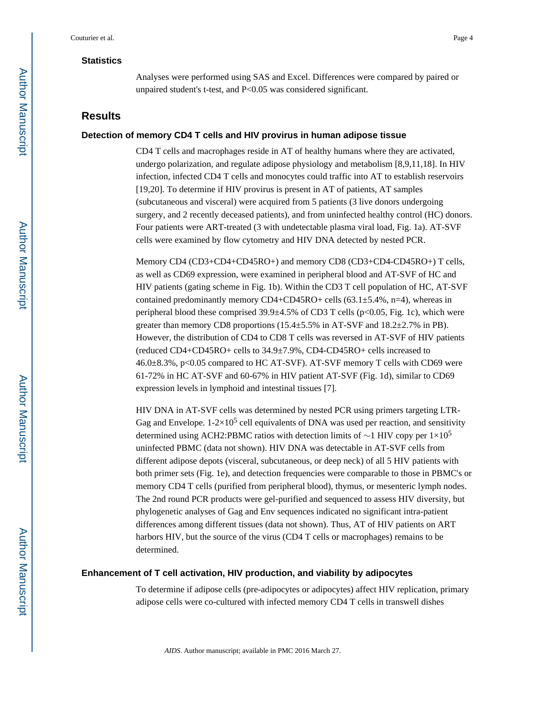#### **Statistics**

Analyses were performed using SAS and Excel. Differences were compared by paired or unpaired student's t-test, and P<0.05 was considered significant.

# **Results**

#### **Detection of memory CD4 T cells and HIV provirus in human adipose tissue**

CD4 T cells and macrophages reside in AT of healthy humans where they are activated, undergo polarization, and regulate adipose physiology and metabolism [8,9,11,18]. In HIV infection, infected CD4 T cells and monocytes could traffic into AT to establish reservoirs [19,20]. To determine if HIV provirus is present in AT of patients, AT samples (subcutaneous and visceral) were acquired from 5 patients (3 live donors undergoing surgery, and 2 recently deceased patients), and from uninfected healthy control (HC) donors. Four patients were ART-treated (3 with undetectable plasma viral load, Fig. 1a). AT-SVF cells were examined by flow cytometry and HIV DNA detected by nested PCR.

Memory CD4 (CD3+CD4+CD45RO+) and memory CD8 (CD3+CD4-CD45RO+) T cells, as well as CD69 expression, were examined in peripheral blood and AT-SVF of HC and HIV patients (gating scheme in Fig. 1b). Within the CD3 T cell population of HC, AT-SVF contained predominantly memory CD4+CD45RO+ cells  $(63.1 \pm 5.4\% , n=4)$ , whereas in peripheral blood these comprised  $39.9\pm4.5\%$  of CD3 T cells (p<0.05, Fig. 1c), which were greater than memory CD8 proportions  $(15.4 \pm 5.5\%$  in AT-SVF and  $18.2 \pm 2.7\%$  in PB). However, the distribution of CD4 to CD8 T cells was reversed in AT-SVF of HIV patients (reduced CD4+CD45RO+ cells to 34.9±7.9%, CD4-CD45RO+ cells increased to 46.0±8.3%, p<0.05 compared to HC AT-SVF). AT-SVF memory T cells with CD69 were 61-72% in HC AT-SVF and 60-67% in HIV patient AT-SVF (Fig. 1d), similar to CD69 expression levels in lymphoid and intestinal tissues [7].

HIV DNA in AT-SVF cells was determined by nested PCR using primers targeting LTR-Gag and Envelope.  $1-2\times10^5$  cell equivalents of DNA was used per reaction, and sensitivity determined using ACH2:PBMC ratios with detection limits of ∼1 HIV copy per 1×10<sup>5</sup> uninfected PBMC (data not shown). HIV DNA was detectable in AT-SVF cells from different adipose depots (visceral, subcutaneous, or deep neck) of all 5 HIV patients with both primer sets (Fig. 1e), and detection frequencies were comparable to those in PBMC's or memory CD4 T cells (purified from peripheral blood), thymus, or mesenteric lymph nodes. The 2nd round PCR products were gel-purified and sequenced to assess HIV diversity, but phylogenetic analyses of Gag and Env sequences indicated no significant intra-patient differences among different tissues (data not shown). Thus, AT of HIV patients on ART harbors HIV, but the source of the virus (CD4 T cells or macrophages) remains to be determined.

#### **Enhancement of T cell activation, HIV production, and viability by adipocytes**

To determine if adipose cells (pre-adipocytes or adipocytes) affect HIV replication, primary adipose cells were co-cultured with infected memory CD4 T cells in transwell dishes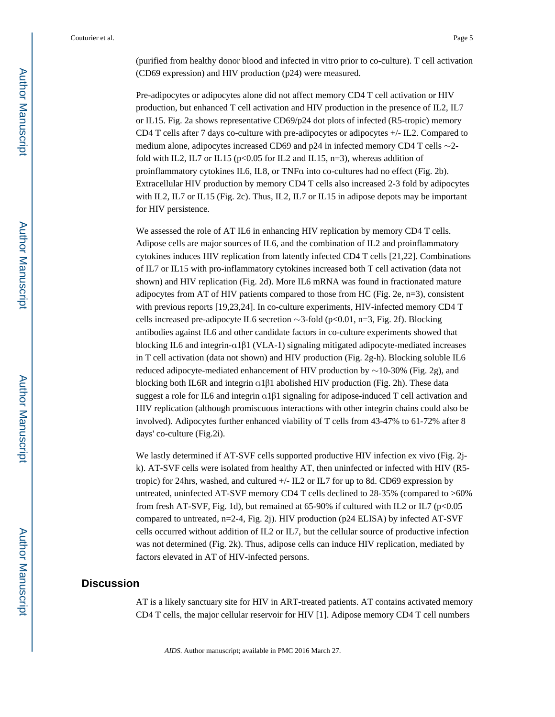(purified from healthy donor blood and infected in vitro prior to co-culture). T cell activation (CD69 expression) and HIV production (p24) were measured.

Pre-adipocytes or adipocytes alone did not affect memory CD4 T cell activation or HIV production, but enhanced T cell activation and HIV production in the presence of IL2, IL7 or IL15. Fig. 2a shows representative CD69/p24 dot plots of infected (R5-tropic) memory CD4 T cells after 7 days co-culture with pre-adipocytes or adipocytes +/- IL2. Compared to medium alone, adipocytes increased CD69 and p24 in infected memory CD4 T cells ∼2 fold with IL2, IL7 or IL15 ( $p<0.05$  for IL2 and IL15,  $n=3$ ), whereas addition of proinflammatory cytokines IL6, IL8, or TNFα into co-cultures had no effect (Fig. 2b). Extracellular HIV production by memory CD4 T cells also increased 2-3 fold by adipocytes with IL2, IL7 or IL15 (Fig. 2c). Thus, IL2, IL7 or IL15 in adipose depots may be important for HIV persistence.

We assessed the role of AT IL6 in enhancing HIV replication by memory CD4 T cells. Adipose cells are major sources of IL6, and the combination of IL2 and proinflammatory cytokines induces HIV replication from latently infected CD4 T cells [21,22]. Combinations of IL7 or IL15 with pro-inflammatory cytokines increased both T cell activation (data not shown) and HIV replication (Fig. 2d). More IL6 mRNA was found in fractionated mature adipocytes from AT of HIV patients compared to those from HC (Fig. 2e, n=3), consistent with previous reports [19,23,24]. In co-culture experiments, HIV-infected memory CD4 T cells increased pre-adipocyte IL6 secretion ∼3-fold (p<0.01, n=3, Fig. 2f). Blocking antibodies against IL6 and other candidate factors in co-culture experiments showed that blocking IL6 and integrin-α1β1 (VLA-1) signaling mitigated adipocyte-mediated increases in T cell activation (data not shown) and HIV production (Fig. 2g-h). Blocking soluble IL6 reduced adipocyte-mediated enhancement of HIV production by ∼10-30% (Fig. 2g), and blocking both IL6R and integrin α1β1 abolished HIV production (Fig. 2h). These data suggest a role for IL6 and integrin α1β1 signaling for adipose-induced T cell activation and HIV replication (although promiscuous interactions with other integrin chains could also be involved). Adipocytes further enhanced viability of T cells from 43-47% to 61-72% after 8 days' co-culture (Fig.2i).

We lastly determined if AT-SVF cells supported productive HIV infection ex vivo (Fig. 2jk). AT-SVF cells were isolated from healthy AT, then uninfected or infected with HIV (R5 tropic) for 24hrs, washed, and cultured  $+/-$  IL2 or IL7 for up to 8d. CD69 expression by untreated, uninfected AT-SVF memory CD4 T cells declined to 28-35% (compared to >60% from fresh AT-SVF, Fig. 1d), but remained at 65-90% if cultured with IL2 or IL7 (p<0.05 compared to untreated,  $n=2-4$ , Fig. 2j). HIV production (p24 ELISA) by infected AT-SVF cells occurred without addition of IL2 or IL7, but the cellular source of productive infection was not determined (Fig. 2k). Thus, adipose cells can induce HIV replication, mediated by factors elevated in AT of HIV-infected persons.

## **Discussion**

AT is a likely sanctuary site for HIV in ART-treated patients. AT contains activated memory CD4 T cells, the major cellular reservoir for HIV [1]. Adipose memory CD4 T cell numbers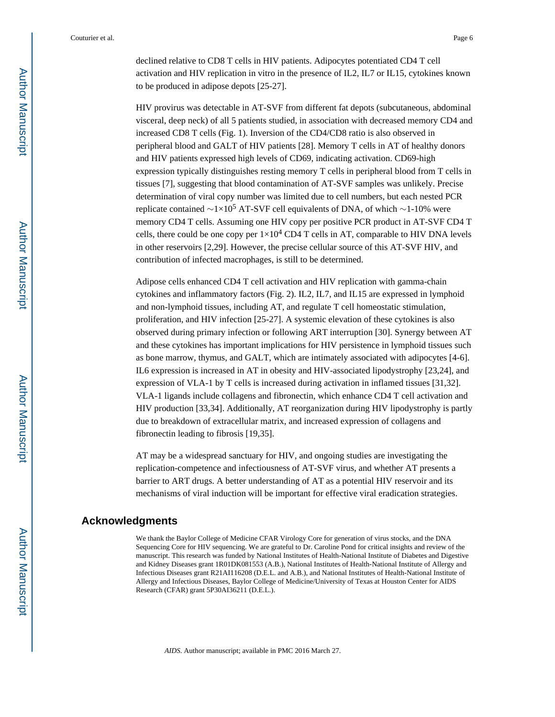declined relative to CD8 T cells in HIV patients. Adipocytes potentiated CD4 T cell activation and HIV replication in vitro in the presence of IL2, IL7 or IL15, cytokines known to be produced in adipose depots [25-27].

HIV provirus was detectable in AT-SVF from different fat depots (subcutaneous, abdominal visceral, deep neck) of all 5 patients studied, in association with decreased memory CD4 and increased CD8 T cells (Fig. 1). Inversion of the CD4/CD8 ratio is also observed in peripheral blood and GALT of HIV patients [28]. Memory T cells in AT of healthy donors and HIV patients expressed high levels of CD69, indicating activation. CD69-high expression typically distinguishes resting memory T cells in peripheral blood from T cells in tissues [7], suggesting that blood contamination of AT-SVF samples was unlikely. Precise determination of viral copy number was limited due to cell numbers, but each nested PCR replicate contained  $\sim$ 1×10<sup>5</sup> AT-SVF cell equivalents of DNA, of which  $\sim$ 1-10% were memory CD4 T cells. Assuming one HIV copy per positive PCR product in AT-SVF CD4 T cells, there could be one copy per  $1\times10^4$  CD4 T cells in AT, comparable to HIV DNA levels in other reservoirs [2,29]. However, the precise cellular source of this AT-SVF HIV, and contribution of infected macrophages, is still to be determined.

Adipose cells enhanced CD4 T cell activation and HIV replication with gamma-chain cytokines and inflammatory factors (Fig. 2). IL2, IL7, and IL15 are expressed in lymphoid and non-lymphoid tissues, including AT, and regulate T cell homeostatic stimulation, proliferation, and HIV infection [25-27]. A systemic elevation of these cytokines is also observed during primary infection or following ART interruption [30]. Synergy between AT and these cytokines has important implications for HIV persistence in lymphoid tissues such as bone marrow, thymus, and GALT, which are intimately associated with adipocytes [4-6]. IL6 expression is increased in AT in obesity and HIV-associated lipodystrophy [23,24], and expression of VLA-1 by T cells is increased during activation in inflamed tissues [31,32]. VLA-1 ligands include collagens and fibronectin, which enhance CD4 T cell activation and HIV production [33,34]. Additionally, AT reorganization during HIV lipodystrophy is partly due to breakdown of extracellular matrix, and increased expression of collagens and fibronectin leading to fibrosis [19,35].

AT may be a widespread sanctuary for HIV, and ongoing studies are investigating the replication-competence and infectiousness of AT-SVF virus, and whether AT presents a barrier to ART drugs. A better understanding of AT as a potential HIV reservoir and its mechanisms of viral induction will be important for effective viral eradication strategies.

#### **Acknowledgments**

We thank the Baylor College of Medicine CFAR Virology Core for generation of virus stocks, and the DNA Sequencing Core for HIV sequencing. We are grateful to Dr. Caroline Pond for critical insights and review of the manuscript. This research was funded by National Institutes of Health-National Institute of Diabetes and Digestive and Kidney Diseases grant 1R01DK081553 (A.B.), National Institutes of Health-National Institute of Allergy and Infectious Diseases grant R21AI116208 (D.E.L. and A.B.), and National Institutes of Health-National Institute of Allergy and Infectious Diseases, Baylor College of Medicine/University of Texas at Houston Center for AIDS Research (CFAR) grant 5P30AI36211 (D.E.L.).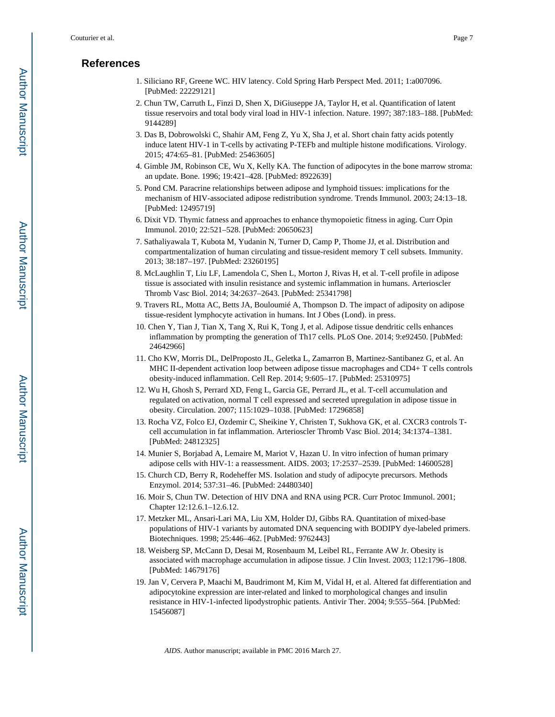# **References**

- 1. Siliciano RF, Greene WC. HIV latency. Cold Spring Harb Perspect Med. 2011; 1:a007096. [PubMed: 22229121]
- 2. Chun TW, Carruth L, Finzi D, Shen X, DiGiuseppe JA, Taylor H, et al. Quantification of latent tissue reservoirs and total body viral load in HIV-1 infection. Nature. 1997; 387:183–188. [PubMed: 9144289]
- 3. Das B, Dobrowolski C, Shahir AM, Feng Z, Yu X, Sha J, et al. Short chain fatty acids potently induce latent HIV-1 in T-cells by activating P-TEFb and multiple histone modifications. Virology. 2015; 474:65–81. [PubMed: 25463605]
- 4. Gimble JM, Robinson CE, Wu X, Kelly KA. The function of adipocytes in the bone marrow stroma: an update. Bone. 1996; 19:421–428. [PubMed: 8922639]
- 5. Pond CM. Paracrine relationships between adipose and lymphoid tissues: implications for the mechanism of HIV-associated adipose redistribution syndrome. Trends Immunol. 2003; 24:13–18. [PubMed: 12495719]
- 6. Dixit VD. Thymic fatness and approaches to enhance thymopoietic fitness in aging. Curr Opin Immunol. 2010; 22:521–528. [PubMed: 20650623]
- 7. Sathaliyawala T, Kubota M, Yudanin N, Turner D, Camp P, Thome JJ, et al. Distribution and compartmentalization of human circulating and tissue-resident memory T cell subsets. Immunity. 2013; 38:187–197. [PubMed: 23260195]
- 8. McLaughlin T, Liu LF, Lamendola C, Shen L, Morton J, Rivas H, et al. T-cell profile in adipose tissue is associated with insulin resistance and systemic inflammation in humans. Arterioscler Thromb Vasc Biol. 2014; 34:2637–2643. [PubMed: 25341798]
- 9. Travers RL, Motta AC, Betts JA, Bouloumié A, Thompson D. The impact of adiposity on adipose tissue-resident lymphocyte activation in humans. Int J Obes (Lond). in press.
- 10. Chen Y, Tian J, Tian X, Tang X, Rui K, Tong J, et al. Adipose tissue dendritic cells enhances inflammation by prompting the generation of Th17 cells. PLoS One. 2014; 9:e92450. [PubMed: 24642966]
- 11. Cho KW, Morris DL, DelProposto JL, Geletka L, Zamarron B, Martinez-Santibanez G, et al. An MHC II-dependent activation loop between adipose tissue macrophages and CD4+ T cells controls obesity-induced inflammation. Cell Rep. 2014; 9:605–17. [PubMed: 25310975]
- 12. Wu H, Ghosh S, Perrard XD, Feng L, Garcia GE, Perrard JL, et al. T-cell accumulation and regulated on activation, normal T cell expressed and secreted upregulation in adipose tissue in obesity. Circulation. 2007; 115:1029–1038. [PubMed: 17296858]
- 13. Rocha VZ, Folco EJ, Ozdemir C, Sheikine Y, Christen T, Sukhova GK, et al. CXCR3 controls Tcell accumulation in fat inflammation. Arterioscler Thromb Vasc Biol. 2014; 34:1374–1381. [PubMed: 24812325]
- 14. Munier S, Borjabad A, Lemaire M, Mariot V, Hazan U. In vitro infection of human primary adipose cells with HIV-1: a reassessment. AIDS. 2003; 17:2537–2539. [PubMed: 14600528]
- 15. Church CD, Berry R, Rodeheffer MS. Isolation and study of adipocyte precursors. Methods Enzymol. 2014; 537:31–46. [PubMed: 24480340]
- 16. Moir S, Chun TW. Detection of HIV DNA and RNA using PCR. Curr Protoc Immunol. 2001; Chapter 12:12.6.1–12.6.12.
- 17. Metzker ML, Ansari-Lari MA, Liu XM, Holder DJ, Gibbs RA. Quantitation of mixed-base populations of HIV-1 variants by automated DNA sequencing with BODIPY dye-labeled primers. Biotechniques. 1998; 25:446–462. [PubMed: 9762443]
- 18. Weisberg SP, McCann D, Desai M, Rosenbaum M, Leibel RL, Ferrante AW Jr. Obesity is associated with macrophage accumulation in adipose tissue. J Clin Invest. 2003; 112:1796–1808. [PubMed: 14679176]
- 19. Jan V, Cervera P, Maachi M, Baudrimont M, Kim M, Vidal H, et al. Altered fat differentiation and adipocytokine expression are inter-related and linked to morphological changes and insulin resistance in HIV-1-infected lipodystrophic patients. Antivir Ther. 2004; 9:555–564. [PubMed: 15456087]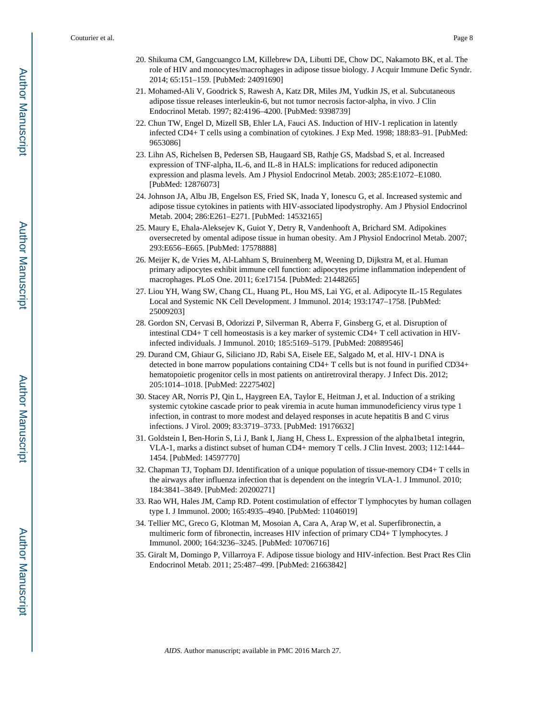- 20. Shikuma CM, Gangcuangco LM, Killebrew DA, Libutti DE, Chow DC, Nakamoto BK, et al. The role of HIV and monocytes/macrophages in adipose tissue biology. J Acquir Immune Defic Syndr. 2014; 65:151–159. [PubMed: 24091690]
- 21. Mohamed-Ali V, Goodrick S, Rawesh A, Katz DR, Miles JM, Yudkin JS, et al. Subcutaneous adipose tissue releases interleukin-6, but not tumor necrosis factor-alpha, in vivo. J Clin Endocrinol Metab. 1997; 82:4196–4200. [PubMed: 9398739]
- 22. Chun TW, Engel D, Mizell SB, Ehler LA, Fauci AS. Induction of HIV-1 replication in latently infected CD4+ T cells using a combination of cytokines. J Exp Med. 1998; 188:83–91. [PubMed: 9653086]
- 23. Lihn AS, Richelsen B, Pedersen SB, Haugaard SB, Rathje GS, Madsbad S, et al. Increased expression of TNF-alpha, IL-6, and IL-8 in HALS: implications for reduced adiponectin expression and plasma levels. Am J Physiol Endocrinol Metab. 2003; 285:E1072–E1080. [PubMed: 12876073]
- 24. Johnson JA, Albu JB, Engelson ES, Fried SK, Inada Y, Ionescu G, et al. Increased systemic and adipose tissue cytokines in patients with HIV-associated lipodystrophy. Am J Physiol Endocrinol Metab. 2004; 286:E261–E271. [PubMed: 14532165]
- 25. Maury E, Ehala-Aleksejev K, Guiot Y, Detry R, Vandenhooft A, Brichard SM. Adipokines oversecreted by omental adipose tissue in human obesity. Am J Physiol Endocrinol Metab. 2007; 293:E656–E665. [PubMed: 17578888]
- 26. Meijer K, de Vries M, Al-Lahham S, Bruinenberg M, Weening D, Dijkstra M, et al. Human primary adipocytes exhibit immune cell function: adipocytes prime inflammation independent of macrophages. PLoS One. 2011; 6:e17154. [PubMed: 21448265]
- 27. Liou YH, Wang SW, Chang CL, Huang PL, Hou MS, Lai YG, et al. Adipocyte IL-15 Regulates Local and Systemic NK Cell Development. J Immunol. 2014; 193:1747–1758. [PubMed: 25009203]
- 28. Gordon SN, Cervasi B, Odorizzi P, Silverman R, Aberra F, Ginsberg G, et al. Disruption of intestinal CD4+ T cell homeostasis is a key marker of systemic CD4+ T cell activation in HIVinfected individuals. J Immunol. 2010; 185:5169–5179. [PubMed: 20889546]
- 29. Durand CM, Ghiaur G, Siliciano JD, Rabi SA, Eisele EE, Salgado M, et al. HIV-1 DNA is detected in bone marrow populations containing CD4+ T cells but is not found in purified CD34+ hematopoietic progenitor cells in most patients on antiretroviral therapy. J Infect Dis. 2012; 205:1014–1018. [PubMed: 22275402]
- 30. Stacey AR, Norris PJ, Qin L, Haygreen EA, Taylor E, Heitman J, et al. Induction of a striking systemic cytokine cascade prior to peak viremia in acute human immunodeficiency virus type 1 infection, in contrast to more modest and delayed responses in acute hepatitis B and C virus infections. J Virol. 2009; 83:3719–3733. [PubMed: 19176632]
- 31. Goldstein I, Ben-Horin S, Li J, Bank I, Jiang H, Chess L. Expression of the alpha1beta1 integrin, VLA-1, marks a distinct subset of human CD4+ memory T cells. J Clin Invest. 2003; 112:1444– 1454. [PubMed: 14597770]
- 32. Chapman TJ, Topham DJ. Identification of a unique population of tissue-memory CD4+ T cells in the airways after influenza infection that is dependent on the integrin VLA-1. J Immunol. 2010; 184:3841–3849. [PubMed: 20200271]
- 33. Rao WH, Hales JM, Camp RD. Potent costimulation of effector T lymphocytes by human collagen type I. J Immunol. 2000; 165:4935–4940. [PubMed: 11046019]
- 34. Tellier MC, Greco G, Klotman M, Mosoian A, Cara A, Arap W, et al. Superfibronectin, a multimeric form of fibronectin, increases HIV infection of primary CD4+ T lymphocytes. J Immunol. 2000; 164:3236–3245. [PubMed: 10706716]
- 35. Giralt M, Domingo P, Villarroya F. Adipose tissue biology and HIV-infection. Best Pract Res Clin Endocrinol Metab. 2011; 25:487–499. [PubMed: 21663842]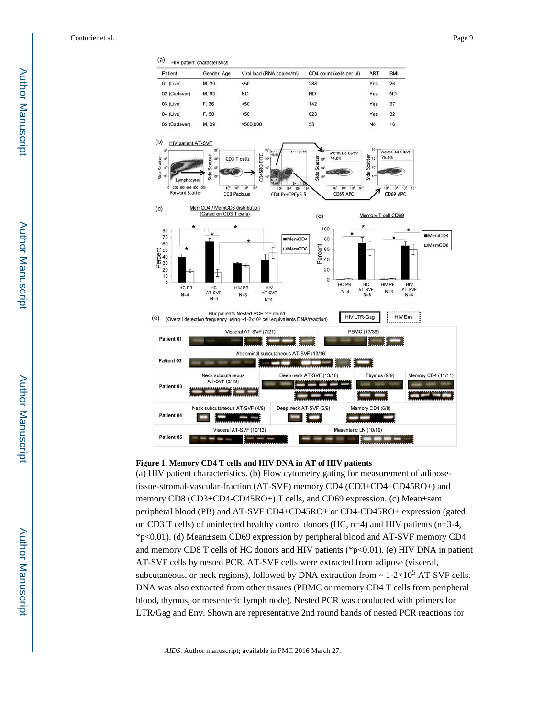

#### **Figure 1. Memory CD4 T cells and HIV DNA in AT of HIV patients**

(a) HIV patient characteristics. (b) Flow cytometry gating for measurement of adiposetissue-stromal-vascular-fraction (AT-SVF) memory CD4 (CD3+CD4+CD45RO+) and memory CD8 (CD3+CD4-CD45RO+) T cells, and CD69 expression. (c) Mean±sem peripheral blood (PB) and AT-SVF CD4+CD45RO+ or CD4-CD45RO+ expression (gated on CD3 T cells) of uninfected healthy control donors (HC,  $n=4$ ) and HIV patients ( $n=3-4$ , \*p<0.01). (d) Mean±sem CD69 expression by peripheral blood and AT-SVF memory CD4 and memory CD8 T cells of HC donors and HIV patients ( $p<0.01$ ). (e) HIV DNA in patient AT-SVF cells by nested PCR. AT-SVF cells were extracted from adipose (visceral, subcutaneous, or neck regions), followed by DNA extraction from  $\sim$ 1-2×10<sup>5</sup> AT-SVF cells. DNA was also extracted from other tissues (PBMC or memory CD4 T cells from peripheral blood, thymus, or mesenteric lymph node). Nested PCR was conducted with primers for LTR/Gag and Env. Shown are representative 2nd round bands of nested PCR reactions for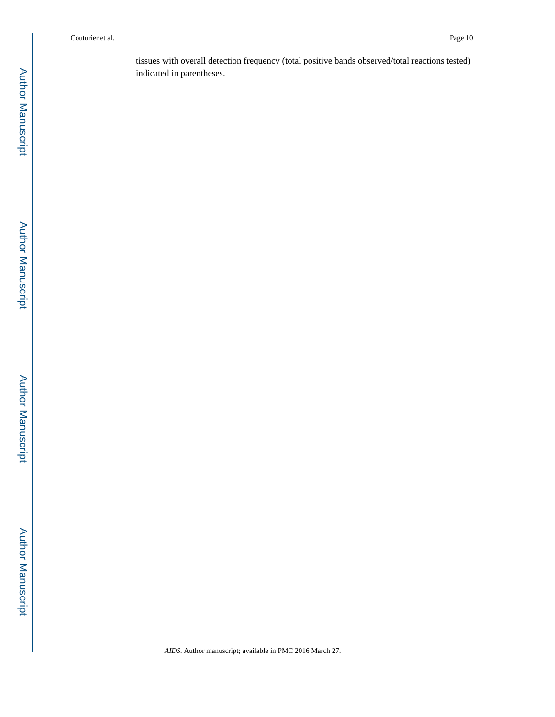tissues with overall detection frequency (total positive bands observed/total reactions tested) indicated in parentheses.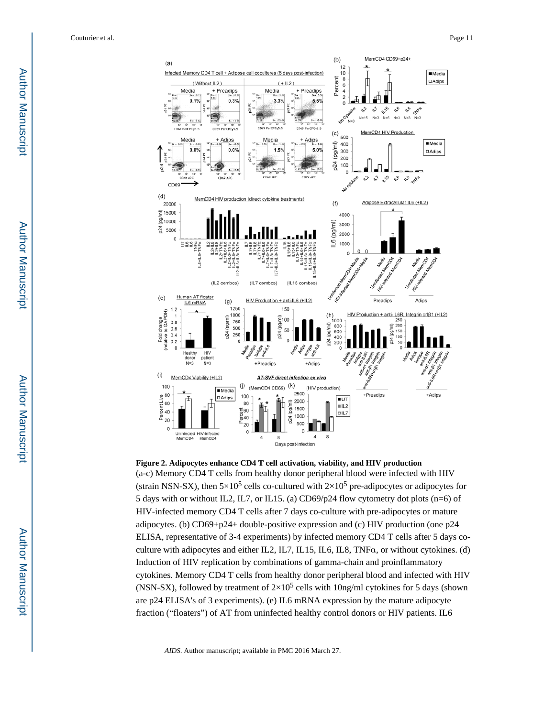

**Figure 2. Adipocytes enhance CD4 T cell activation, viability, and HIV production** (a-c) Memory CD4 T cells from healthy donor peripheral blood were infected with HIV (strain NSN-SX), then  $5\times10^5$  cells co-cultured with  $2\times10^5$  pre-adipocytes or adipocytes for 5 days with or without IL2, IL7, or IL15. (a) CD69/p24 flow cytometry dot plots (n=6) of HIV-infected memory CD4 T cells after 7 days co-culture with pre-adipocytes or mature adipocytes. (b) CD69+p24+ double-positive expression and (c) HIV production (one p24 ELISA, representative of 3-4 experiments) by infected memory CD4 T cells after 5 days coculture with adipocytes and either IL2, IL7, IL15, IL6, IL8, TNFα, or without cytokines. (d) Induction of HIV replication by combinations of gamma-chain and proinflammatory cytokines. Memory CD4 T cells from healthy donor peripheral blood and infected with HIV (NSN-SX), followed by treatment of  $2\times10^5$  cells with 10ng/ml cytokines for 5 days (shown are p24 ELISA's of 3 experiments). (e) IL6 mRNA expression by the mature adipocyte fraction ("floaters") of AT from uninfected healthy control donors or HIV patients. IL6